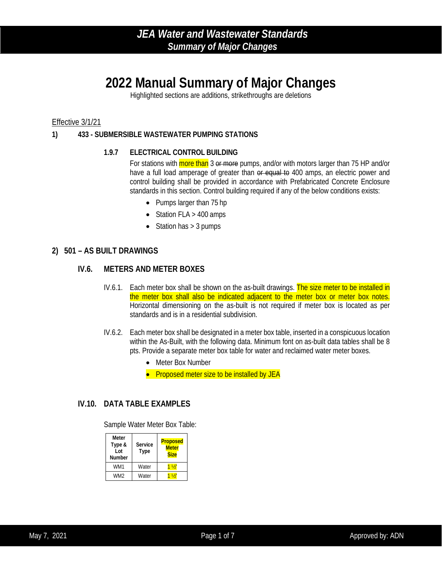# **2022 Manual Summary of Major Changes**

Highlighted sections are additions, strikethroughs are deletions

#### Effective 3/1/21

#### **1) 433 - SUBMERSIBLE WASTEWATER PUMPING STATIONS**

#### **1.9.7 ELECTRICAL CONTROL BUILDING**

For stations with more than 3 or more pumps, and/or with motors larger than 75 HP and/or have a full load amperage of greater than or equal to 400 amps, an electric power and control building shall be provided in accordance with Prefabricated Concrete Enclosure standards in this section. Control building required if any of the below conditions exists:

- Pumps larger than 75 hp
- Station FLA > 400 amps
- Station has  $> 3$  pumps

#### **2) 501 – AS BUILT DRAWINGS**

#### **IV.6. METERS AND METER BOXES**

- IV.6.1. Each meter box shall be shown on the as-built drawings. The size meter to be installed in the meter box shall also be indicated adjacent to the meter box or meter box notes. Horizontal dimensioning on the as-built is not required if meter box is located as per standards and is in a residential subdivision.
- IV.6.2. Each meter box shall be designated in a meter box table, inserted in a conspicuous location within the As-Built, with the following data. Minimum font on as-built data tables shall be 8 pts. Provide a separate meter box table for water and reclaimed water meter boxes.
	- Meter Box Number
	- Proposed meter size to be installed by JEA

#### **IV.10. DATA TABLE EXAMPLES**

Sample Water Meter Box Table:

| Meter<br>Type &<br>Lot<br><b>Number</b> | Service<br><b>Type</b> | <b>Proposed</b><br><b>Meter</b><br><b>Size</b> |
|-----------------------------------------|------------------------|------------------------------------------------|
| WM1                                     | Water                  | $\frac{1}{2}$                                  |
| WM <sub>2</sub>                         | Water                  | $\frac{1}{2}$                                  |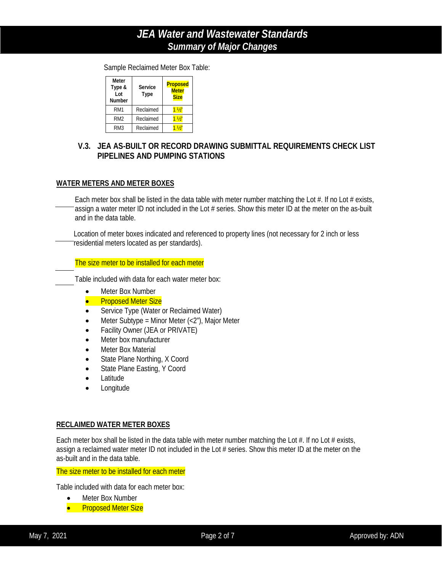Sample Reclaimed Meter Box Table:

| <b>Meter</b><br>Type &<br>I ot<br>Number | Service<br>Type | <b>Proposed</b><br><b>Meter</b><br><b>Size</b> |
|------------------------------------------|-----------------|------------------------------------------------|
| RM <sub>1</sub>                          | Reclaimed       | $1\frac{1}{2}$                                 |
| RM <sub>2</sub>                          | Reclaimed       | $1\frac{1}{2}$                                 |
| RM3                                      | Reclaimed       | $\frac{1}{2}$                                  |

### **V.3. JEA AS-BUILT OR RECORD DRAWING SUBMITTAL REQUIREMENTS CHECK LIST PIPELINES AND PUMPING STATIONS**

#### **WATER METERS AND METER BOXES**

Each meter box shall be listed in the data table with meter number matching the Lot  $#$ . If no Lot  $#$  exists, assign a water meter ID not included in the Lot # series. Show this meter ID at the meter on the as-built and in the data table.

Location of meter boxes indicated and referenced to property lines (not necessary for 2 inch or less residential meters located as per standards).

The size meter to be installed for each meter

Table included with data for each water meter box:

- Meter Box Number
- **Proposed Meter Size**
- Service Type (Water or Reclaimed Water)
- Meter Subtype = Minor Meter  $\left\langle \langle 2^n \rangle \right\rangle$ , Major Meter
- Facility Owner (JEA or PRIVATE)
- Meter box manufacturer
- **Meter Box Material**
- State Plane Northing, X Coord
- State Plane Easting, Y Coord
- Latitude
- Longitude

#### **RECLAIMED WATER METER BOXES**

Each meter box shall be listed in the data table with meter number matching the Lot  $#$ . If no Lot  $#$  exists, assign a reclaimed water meter ID not included in the Lot # series. Show this meter ID at the meter on the as-built and in the data table.

The size meter to be installed for each meter

Table included with data for each meter box:

- Meter Box Number
- **•** Proposed Meter Size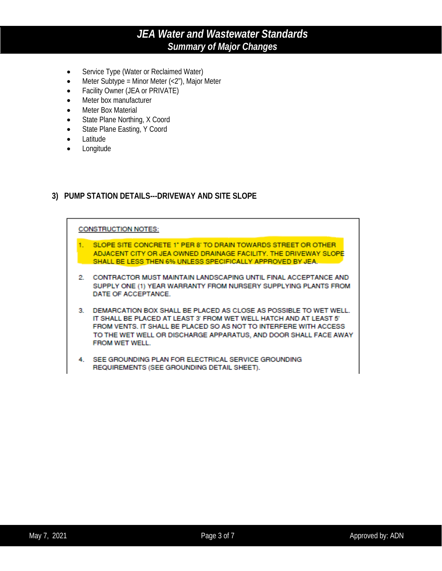- Service Type (Water or Reclaimed Water)
- Meter Subtype = Minor Meter  $\left\langle \langle 2^n \rangle \right\rangle$ , Major Meter
- Facility Owner (JEA or PRIVATE)
- Meter box manufacturer
- Meter Box Material
- State Plane Northing, X Coord
- State Plane Easting, Y Coord
- Latitude
- Longitude

#### **3) PUMP STATION DETAILS---DRIVEWAY AND SITE SLOPE**

#### **CONSTRUCTION NOTES:**

- 1. SLOPE SITE CONCRETE 1" PER 8" TO DRAIN TOWARDS STREET OR OTHER ADJACENT CITY OR JEA OWNED DRAINAGE FACILITY. THE DRIVEWAY SLOPE SHALL BE LESS THEN 6% UNLESS SPECIFICALLY APPROVED BY JEA.
- 2. CONTRACTOR MUST MAINTAIN LANDSCAPING UNTIL FINAL ACCEPTANCE AND SUPPLY ONE (1) YEAR WARRANTY FROM NURSERY SUPPLYING PLANTS FROM DATE OF ACCEPTANCE.
- 3. DEMARCATION BOX SHALL BE PLACED AS CLOSE AS POSSIBLE TO WET WELL. IT SHALL BE PLACED AT LEAST 3' FROM WET WELL HATCH AND AT LEAST 5' FROM VENTS. IT SHALL BE PLACED SO AS NOT TO INTERFERE WITH ACCESS TO THE WET WELL OR DISCHARGE APPARATUS, AND DOOR SHALL FACE AWAY FROM WET WELL.
- 4. SEE GROUNDING PLAN FOR ELECTRICAL SERVICE GROUNDING REQUIREMENTS (SEE GROUNDING DETAIL SHEET).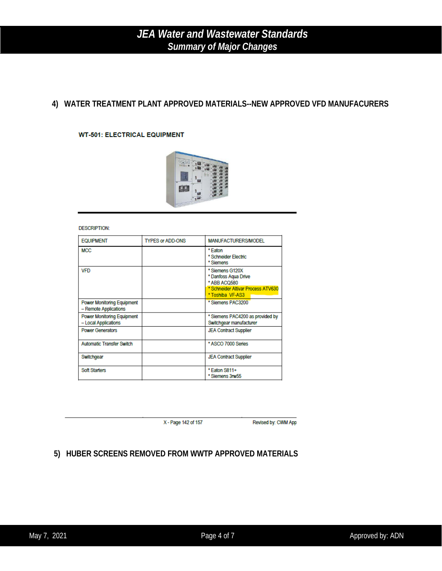### **4) WATER TREATMENT PLANT APPROVED MATERIALS--NEW APPROVED VFD MANUFACURERS**

#### **WT-501: ELECTRICAL EQUIPMENT**



#### **DESCRIPTION:**

| <b>EQUIPMENT</b>                                           | <b>TYPES or ADD-ONS</b> | MANUFACTURERS/MODEL                                                                                               |
|------------------------------------------------------------|-------------------------|-------------------------------------------------------------------------------------------------------------------|
| <b>MCC</b>                                                 |                         | * Eaton<br>* Schneider Electric<br>* Siemens                                                                      |
| <b>VFD</b>                                                 |                         | * Siemens G120X<br>* Danfoss Aqua Drive<br>* ABB ACQ580<br>* Schneider Altivar Process ATV630<br>* Toshiba VF-AS3 |
| <b>Power Monitoring Equipment</b><br>- Remote Applications |                         | * Siemens PAC3200                                                                                                 |
| <b>Power Monitoring Equipment</b><br>- Local Applications  |                         | * Siemens PAC4200 as provided by<br>Switchgear manufacturer                                                       |
| <b>Power Generators</b>                                    |                         | <b>JEA Contract Supplier</b>                                                                                      |
| <b>Automatic Transfer Switch</b>                           |                         | * ASCO 7000 Series                                                                                                |
| Switchgear                                                 |                         | <b>JEA Contract Supplier</b>                                                                                      |
| <b>Soft Starters</b>                                       |                         | *Eaton S811+<br>* Siemens 3rw55                                                                                   |

X - Page 142 of 157

Revised by: CWM App

### **5) HUBER SCREENS REMOVED FROM WWTP APPROVED MATERIALS**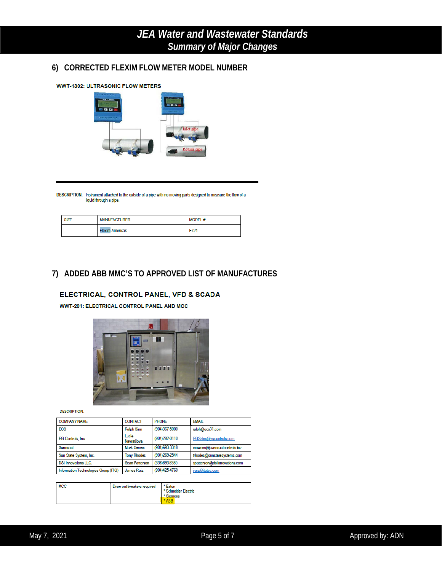### **6) CORRECTED FLEXIM FLOW METER MODEL NUMBER**



DESCRIPTION: Instrument attached to the outside of a pipe with no moving parts designed to measure the flow of a liquid through a pipe.

| <b>SIZE</b> | <b>MANUFACTURER</b>    | <b>MODEL#</b>    |
|-------------|------------------------|------------------|
|             | <b>Flexim Americas</b> | F72 <sup>-</sup> |

### **7) ADDED ABB MMC'S TO APPROVED LIST OF MANUFACTURES**

#### ELECTRICAL, CONTROL PANEL, VFD & SCADA

**WWT-201: ELECTRICAL CONTROL PANEL AND MCC** 



**DESCRIPTION:** 

| <b>COMPANY NAME</b>                  | <b>CONTACT</b>       | <b>PHONE</b>   | <b>EMAIL</b>                  |
|--------------------------------------|----------------------|----------------|-------------------------------|
| ECS                                  | <b>Ralph Sinn</b>    | (904)367-5000  | ralph@ecs31.com               |
| <b>EG Controls, Inc.</b>             | Lucie<br>Navratilova | (904) 292-0110 | EGSales@eqcontrols.com        |
| Suncoast                             | <b>Mark Owens</b>    | (904)693-3318  | mowens@suncoastcontrols.biz   |
| Sun State System, Inc.               | <b>Tony Rhodes</b>   | (904) 269-2544 | trhodes@sunstatesystems.com   |
| <b>DSI Innovations LLC.</b>          | Sean Patterson       | (336)893.8385  | spatterson@dsiinnovations.com |
| Information Technologies Group (ITG) | <b>James Ruiz</b>    | (904)425-4760  | jruiz@itgtec.com              |

| <b>MCC</b> | Draw out breakers required | * Eaton<br>* Schneider Electric<br>Siemens<br><b>ABB</b> |
|------------|----------------------------|----------------------------------------------------------|
|            |                            |                                                          |